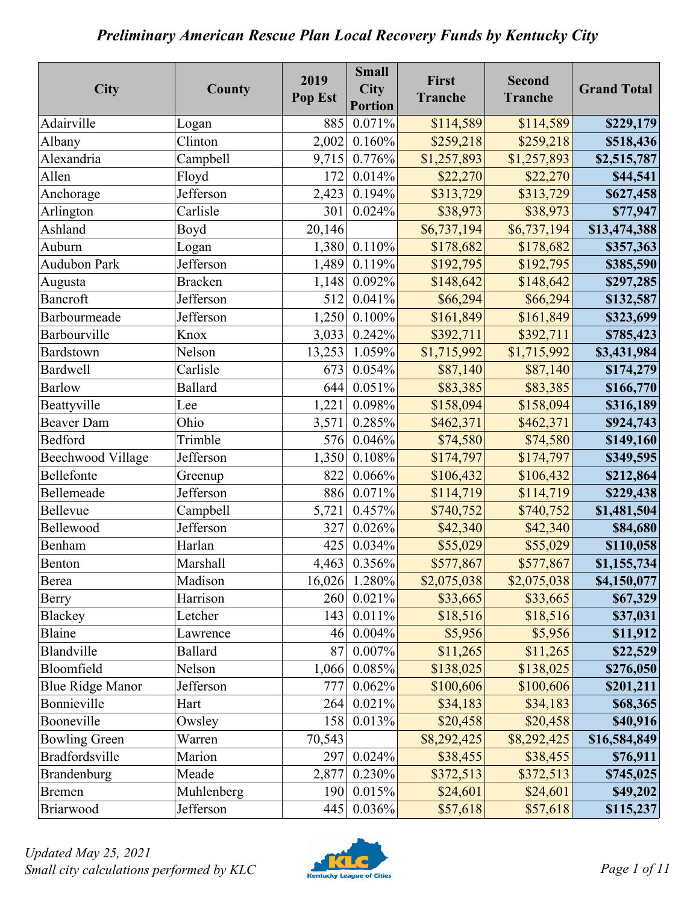| City                     | County         | 2019<br>Pop Est | <b>Small</b><br><b>City</b><br><b>Portion</b> | First<br><b>Tranche</b> | <b>Second</b><br><b>Tranche</b> | <b>Grand Total</b> |
|--------------------------|----------------|-----------------|-----------------------------------------------|-------------------------|---------------------------------|--------------------|
| Adairville               | Logan          | 885             | 0.071%                                        | \$114,589               | \$114,589                       | \$229,179          |
| Albany                   | Clinton        | 2,002           | 0.160%                                        | \$259,218               | \$259,218                       | \$518,436          |
| Alexandria               | Campbell       | 9,715           | 0.776%                                        | \$1,257,893             | \$1,257,893                     | \$2,515,787        |
| Allen                    | Floyd          | 172             | 0.014%                                        | \$22,270                | \$22,270                        | \$44,541           |
| Anchorage                | Jefferson      | 2,423           | 0.194%                                        | \$313,729               | \$313,729                       | \$627,458          |
| Arlington                | Carlisle       | 301             | 0.024%                                        | \$38,973                | \$38,973                        | \$77,947           |
| Ashland                  | Boyd           | 20,146          |                                               | \$6,737,194             | \$6,737,194                     | \$13,474,388       |
| Auburn                   | Logan          | 1,380           | 0.110%                                        | \$178,682               | \$178,682                       | \$357,363          |
| <b>Audubon Park</b>      | Jefferson      | 1,489           | 0.119%                                        | \$192,795               | \$192,795                       | \$385,590          |
| Augusta                  | <b>Bracken</b> | 1,148           | 0.092%                                        | \$148,642               | \$148,642                       | \$297,285          |
| Bancroft                 | Jefferson      | 512             | 0.041%                                        | \$66,294                | \$66,294                        | \$132,587          |
| Barbourmeade             | Jefferson      | 1,250           | 0.100%                                        | \$161,849               | \$161,849                       | \$323,699          |
| Barbourville             | Knox           | 3,033           | 0.242%                                        | \$392,711               | \$392,711                       | \$785,423          |
| Bardstown                | Nelson         | 13,253          | 1.059%                                        | \$1,715,992             | \$1,715,992                     | \$3,431,984        |
| <b>Bardwell</b>          | Carlisle       | 673             | 0.054%                                        | \$87,140                | \$87,140                        | \$174,279          |
| <b>Barlow</b>            | <b>Ballard</b> | 644             | 0.051%                                        | \$83,385                | \$83,385                        | \$166,770          |
| Beattyville              | Lee            | 1,221           | 0.098%                                        | \$158,094               | \$158,094                       | \$316,189          |
| <b>Beaver Dam</b>        | Ohio           | 3,571           | 0.285%                                        | \$462,371               | \$462,371                       | \$924,743          |
| Bedford                  | Trimble        | 576             | 0.046%                                        | \$74,580                | \$74,580                        | \$149,160          |
| <b>Beechwood Village</b> | Jefferson      | 1,350           | 0.108%                                        | \$174,797               | \$174,797                       | \$349,595          |
| Bellefonte               | Greenup        | 822             | 0.066%                                        | \$106,432               | \$106,432                       | \$212,864          |
| Bellemeade               | Jefferson      | 886             | 0.071%                                        | \$114,719               | \$114,719                       | \$229,438          |
| Bellevue                 | Campbell       | 5,721           | 0.457%                                        | \$740,752               | \$740,752                       | \$1,481,504        |
| Bellewood                | Jefferson      | 327             | 0.026%                                        | \$42,340                | \$42,340                        | \$84,680           |
| Benham                   | Harlan         | 425             | 0.034%                                        | \$55,029                | \$55,029                        | \$110,058          |
| Benton                   | Marshall       | 4,463           | 0.356%                                        | \$577,867               | \$577,867                       | \$1,155,734        |
| Berea                    | Madison        | 16,026          | 1.280%                                        | \$2,075,038             | \$2,075,038                     | \$4,150,077        |
| Berry                    | Harrison       | 260             | 0.021%                                        | \$33,665                | \$33,665                        | \$67,329           |
| Blackey                  | Letcher        | 143             | 0.011%                                        | \$18,516                | \$18,516                        | \$37,031           |
| Blaine                   | Lawrence       | 46              | 0.004%                                        | \$5,956                 | \$5,956                         | \$11,912           |
| Blandville               | <b>Ballard</b> | 87              | 0.007%                                        | \$11,265                | \$11,265                        | \$22,529           |
| Bloomfield               | Nelson         | 1,066           | 0.085%                                        | \$138,025               | \$138,025                       | \$276,050          |
| <b>Blue Ridge Manor</b>  | Jefferson      | 777             | 0.062%                                        | \$100,606               | \$100,606                       | \$201,211          |
| Bonnieville              | Hart           | 264             | 0.021%                                        | \$34,183                | \$34,183                        | \$68,365           |
| Booneville               | Owsley         | 158             | 0.013%                                        | \$20,458                | \$20,458                        | \$40,916           |
| <b>Bowling Green</b>     | Warren         | 70,543          |                                               | \$8,292,425             | \$8,292,425                     | \$16,584,849       |
| Bradfordsville           | Marion         | 297             | 0.024%                                        | \$38,455                | \$38,455                        | \$76,911           |
| Brandenburg              | Meade          | 2,877           | 0.230%                                        | \$372,513               | \$372,513                       | \$745,025          |
| <b>Bremen</b>            | Muhlenberg     | 190             | 0.015%                                        | \$24,601                | \$24,601                        | \$49,202           |
| Briarwood                | Jefferson      | 445             | 0.036%                                        | \$57,618                | \$57,618                        | \$115,237          |

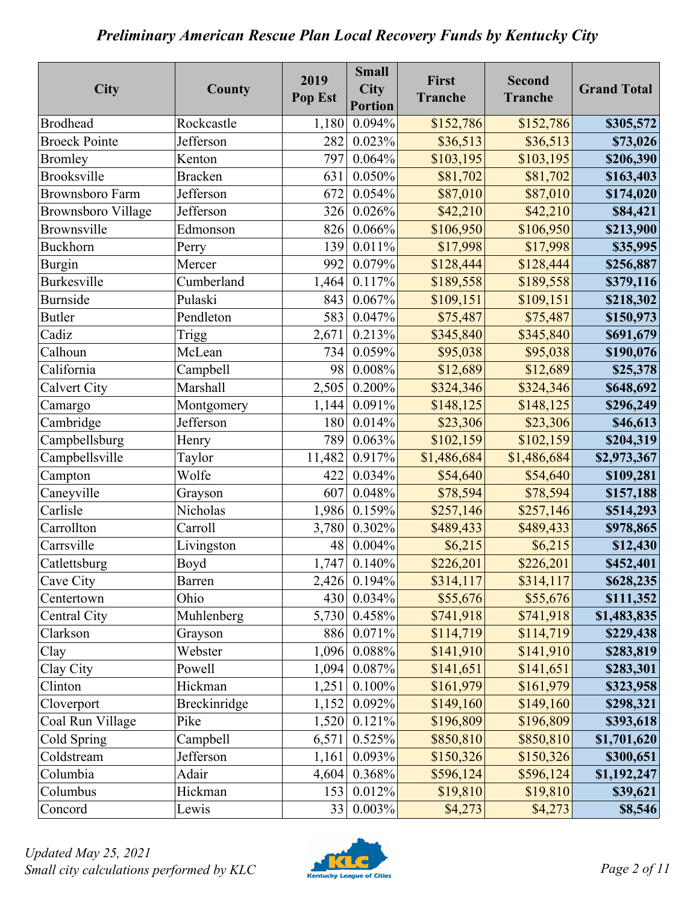| City                      | County         | 2019<br>Pop Est | <b>Small</b><br><b>City</b><br><b>Portion</b> | First<br><b>Tranche</b> | <b>Second</b><br><b>Tranche</b> | <b>Grand Total</b> |
|---------------------------|----------------|-----------------|-----------------------------------------------|-------------------------|---------------------------------|--------------------|
| <b>Brodhead</b>           | Rockcastle     | 1,180           | 0.094%                                        | \$152,786               | \$152,786                       | \$305,572          |
| <b>Broeck Pointe</b>      | Jefferson      | 282             | 0.023%                                        | \$36,513                | \$36,513                        | \$73,026           |
| <b>Bromley</b>            | Kenton         | 797             | 0.064%                                        | \$103,195               | \$103,195                       | \$206,390          |
| <b>Brooksville</b>        | <b>Bracken</b> | 631             | 0.050%                                        | \$81,702                | \$81,702                        | \$163,403          |
| <b>Brownsboro Farm</b>    | Jefferson      | 672             | 0.054%                                        | \$87,010                | \$87,010                        | \$174,020          |
| <b>Brownsboro Village</b> | Jefferson      | 326             | 0.026%                                        | \$42,210                | \$42,210                        | \$84,421           |
| Brownsville               | Edmonson       | 826             | 0.066%                                        | \$106,950               | \$106,950                       | \$213,900          |
| Buckhorn                  | Perry          | 139             | 0.011%                                        | \$17,998                | \$17,998                        | \$35,995           |
| Burgin                    | Mercer         | 992             | 0.079%                                        | \$128,444               | \$128,444                       | \$256,887          |
| <b>Burkesville</b>        | Cumberland     | 1,464           | 0.117%                                        | \$189,558               | \$189,558                       | \$379,116          |
| <b>Burnside</b>           | Pulaski        | 843             | 0.067%                                        | \$109,151               | \$109,151                       | \$218,302          |
| <b>Butler</b>             | Pendleton      | 583             | 0.047%                                        | \$75,487                | \$75,487                        | \$150,973          |
| Cadiz                     | Trigg          | 2,671           | 0.213%                                        | \$345,840               | \$345,840                       | \$691,679          |
| Calhoun                   | McLean         | 734             | 0.059%                                        | \$95,038                | \$95,038                        | \$190,076          |
| California                | Campbell       | 98              | 0.008%                                        | \$12,689                | \$12,689                        | \$25,378           |
| <b>Calvert City</b>       | Marshall       | 2,505           | 0.200%                                        | \$324,346               | \$324,346                       | \$648,692          |
| Camargo                   | Montgomery     | 1,144           | 0.091%                                        | \$148,125               | \$148,125                       | \$296,249          |
| Cambridge                 | Jefferson      | 180             | 0.014%                                        | \$23,306                | \$23,306                        | \$46,613           |
| Campbellsburg             | Henry          | 789             | 0.063%                                        | \$102,159               | \$102,159                       | \$204,319          |
| Campbellsville            | Taylor         | 11,482          | 0.917%                                        | \$1,486,684             | \$1,486,684                     | \$2,973,367        |
| Campton                   | Wolfe          | 422             | 0.034%                                        | \$54,640                | \$54,640                        | \$109,281          |
| Caneyville                | Grayson        | 607             | 0.048%                                        | \$78,594                | \$78,594                        | \$157,188          |
| Carlisle                  | Nicholas       | 1,986           | 0.159%                                        | \$257,146               | \$257,146                       | \$514,293          |
| Carrollton                | Carroll        | 3,780           | 0.302%                                        | \$489,433               | \$489,433                       | \$978,865          |
| Carrsville                | Livingston     | 48              | 0.004%                                        | \$6,215                 | \$6,215                         | \$12,430           |
| Catlettsburg              | Boyd           | 1,747           | 0.140%                                        | \$226,201               | \$226,201                       | \$452,401          |
| Cave City                 | Barren         | 2,426           | 0.194%                                        | \$314,117               | \$314,117                       | \$628,235          |
| Centertown                | Ohio           | 430             | 0.034%                                        | \$55,676                | \$55,676                        | \$111,352          |
| Central City              | Muhlenberg     | 5,730           | 0.458%                                        | \$741,918               | \$741,918                       | \$1,483,835        |
| Clarkson                  | Grayson        | 886             | 0.071%                                        | \$114,719               | \$114,719                       | \$229,438          |
| Clay                      | Webster        | 1,096           | 0.088%                                        | \$141,910               | \$141,910                       | \$283,819          |
| Clay City                 | Powell         | 1,094           | 0.087%                                        | \$141,651               | \$141,651                       | \$283,301          |
| Clinton                   | Hickman        | 1,251           | 0.100%                                        | \$161,979               | \$161,979                       | \$323,958          |
| Cloverport                | Breckinridge   | 1,152           | 0.092%                                        | \$149,160               | \$149,160                       | \$298,321          |
| Coal Run Village          | Pike           | 1,520           | 0.121%                                        | \$196,809               | \$196,809                       | \$393,618          |
| Cold Spring               | Campbell       | 6,571           | 0.525%                                        | \$850,810               | \$850,810                       | \$1,701,620        |
| Coldstream                | Jefferson      | 1,161           | 0.093%                                        | \$150,326               | \$150,326                       | \$300,651          |
| Columbia                  | Adair          | 4,604           | 0.368%                                        | \$596,124               | \$596,124                       | \$1,192,247        |
| Columbus                  | Hickman        | 153             | 0.012%                                        | \$19,810                | \$19,810                        | \$39,621           |
| Concord                   | Lewis          | 33              | $0.003\%$                                     | \$4,273                 | \$4,273                         | \$8,546            |

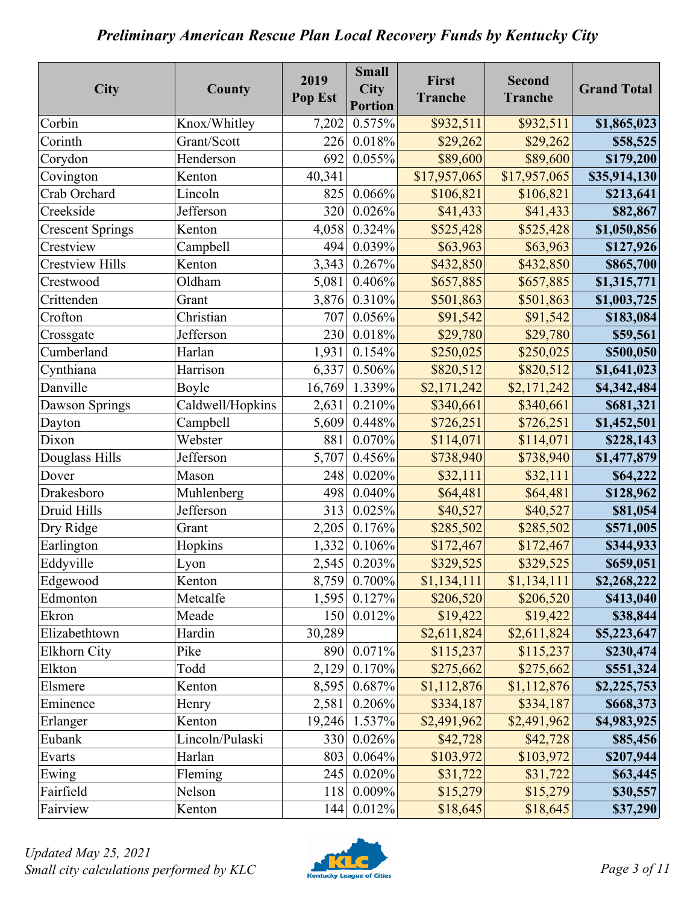| City                    | County           | 2019<br>Pop Est | <b>Small</b><br><b>City</b><br><b>Portion</b> | First<br><b>Tranche</b> | <b>Second</b><br><b>Tranche</b> | <b>Grand Total</b> |
|-------------------------|------------------|-----------------|-----------------------------------------------|-------------------------|---------------------------------|--------------------|
| Corbin                  | Knox/Whitley     | 7,202           | 0.575%                                        | \$932,511               | \$932,511                       | \$1,865,023        |
| Corinth                 | Grant/Scott      | 226             | $0.018\%$                                     | \$29,262                | \$29,262                        | \$58,525           |
| Corydon                 | Henderson        | 692             | 0.055%                                        | \$89,600                | \$89,600                        | \$179,200          |
| Covington               | Kenton           | 40,341          |                                               | \$17,957,065            | \$17,957,065                    | \$35,914,130       |
| Crab Orchard            | Lincoln          | 825             | 0.066%                                        | \$106,821               | \$106,821                       | \$213,641          |
| Creekside               | Jefferson        | 320             | 0.026%                                        | \$41,433                | \$41,433                        | \$82,867           |
| <b>Crescent Springs</b> | Kenton           | 4,058           | 0.324%                                        | \$525,428               | \$525,428                       | \$1,050,856        |
| Crestview               | Campbell         | 494             | 0.039%                                        | \$63,963                | \$63,963                        | \$127,926          |
| <b>Crestview Hills</b>  | Kenton           | 3,343           | 0.267%                                        | \$432,850               | \$432,850                       | \$865,700          |
| Crestwood               | Oldham           | 5,081           | 0.406%                                        | \$657,885               | \$657,885                       | \$1,315,771        |
| Crittenden              | Grant            | 3,876           | $0.310\%$                                     | \$501,863               | \$501,863                       | \$1,003,725        |
| Crofton                 | Christian        | 707             | 0.056%                                        | \$91,542                | \$91,542                        | \$183,084          |
| Crossgate               | Jefferson        | 230             | $0.018\%$                                     | \$29,780                | \$29,780                        | \$59,561           |
| Cumberland              | Harlan           | 1,931           | 0.154%                                        | \$250,025               | \$250,025                       | \$500,050          |
| Cynthiana               | Harrison         | 6,337           | 0.506%                                        | \$820,512               | \$820,512                       | \$1,641,023        |
| Danville                | Boyle            | 16,769          | 1.339%                                        | \$2,171,242             | \$2,171,242                     | \$4,342,484        |
| Dawson Springs          | Caldwell/Hopkins | 2,631           | 0.210%                                        | \$340,661               | \$340,661                       | \$681,321          |
| Dayton                  | Campbell         | 5,609           | 0.448%                                        | \$726,251               | \$726,251                       | \$1,452,501        |
| Dixon                   | Webster          | 881             | 0.070%                                        | \$114,071               | \$114,071                       | \$228,143          |
| Douglass Hills          | Jefferson        | 5,707           | 0.456%                                        | \$738,940               | \$738,940                       | \$1,477,879        |
| Dover                   | Mason            | 248             | 0.020%                                        | \$32,111                | \$32,111                        | \$64,222           |
| Drakesboro              | Muhlenberg       | 498             | 0.040%                                        | \$64,481                | \$64,481                        | \$128,962          |
| Druid Hills             | Jefferson        | 313             | 0.025%                                        | \$40,527                | \$40,527                        | \$81,054           |
| Dry Ridge               | Grant            | 2,205           | 0.176%                                        | \$285,502               | \$285,502                       | \$571,005          |
| Earlington              | Hopkins          | 1,332           | 0.106%                                        | \$172,467               | \$172,467                       | \$344,933          |
| Eddyville               | Lyon             | 2,545           | 0.203%                                        | \$329,525               | \$329,525                       | \$659,051          |
| Edgewood                | Kenton           | 8,759           | 0.700%                                        | \$1,134,111             | \$1,134,111                     | \$2,268,222        |
| Edmonton                | Metcalfe         | 1,595           | 0.127%                                        | \$206,520               | \$206,520                       | \$413,040          |
| Ekron                   | Meade            | 150             | 0.012%                                        | \$19,422                | \$19,422                        | \$38,844           |
| Elizabethtown           | Hardin           | 30,289          |                                               | \$2,611,824             | \$2,611,824                     | \$5,223,647        |
| Elkhorn City            | Pike             | 890             | 0.071%                                        | \$115,237               | \$115,237                       | \$230,474          |
| Elkton                  | Todd             | 2,129           | 0.170%                                        | \$275,662               | \$275,662                       | \$551,324          |
| Elsmere                 | Kenton           | 8,595           | 0.687%                                        | \$1,112,876             | \$1,112,876                     | \$2,225,753        |
| Eminence                | Henry            | 2,581           | 0.206%                                        | \$334,187               | \$334,187                       | \$668,373          |
| Erlanger                | Kenton           | 19,246          | 1.537%                                        | \$2,491,962             | \$2,491,962                     | \$4,983,925        |
| Eubank                  | Lincoln/Pulaski  | 330             | 0.026%                                        | \$42,728                | \$42,728                        | \$85,456           |
| Evarts                  | Harlan           | 803             | 0.064%                                        | \$103,972               | \$103,972                       | \$207,944          |
| Ewing                   | Fleming          | 245             | 0.020%                                        | \$31,722                | \$31,722                        | \$63,445           |
| Fairfield               | Nelson           | 118             | 0.009%                                        | \$15,279                | \$15,279                        | \$30,557           |
| Fairview                | Kenton           | 144             | 0.012%                                        | \$18,645                | \$18,645                        | \$37,290           |

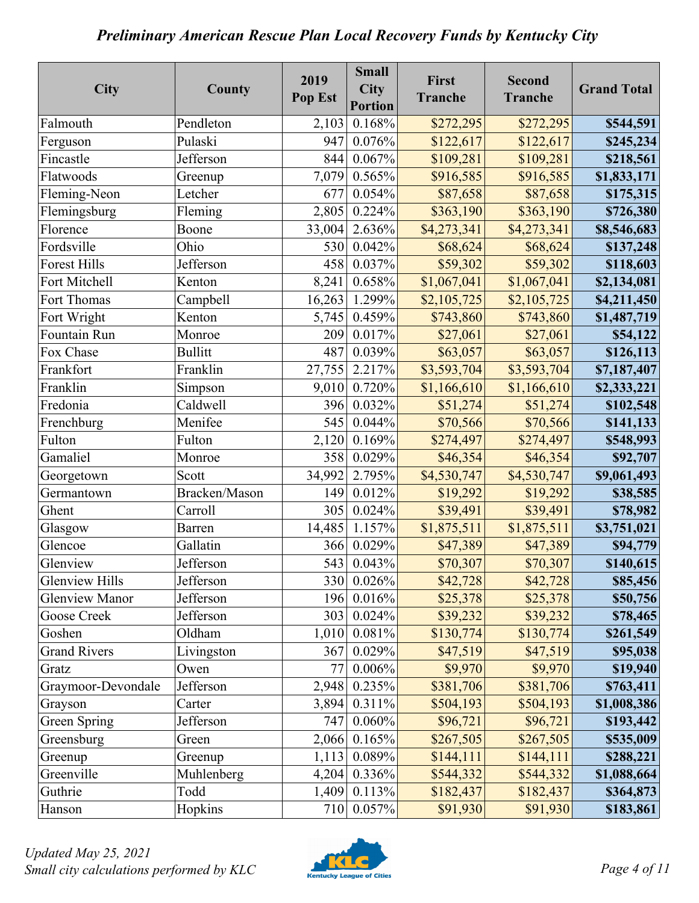| <b>City</b>           | County         | 2019<br>Pop Est | <b>Small</b><br><b>City</b><br><b>Portion</b> | First<br><b>Tranche</b> | <b>Second</b><br><b>Tranche</b> | <b>Grand Total</b> |
|-----------------------|----------------|-----------------|-----------------------------------------------|-------------------------|---------------------------------|--------------------|
| Falmouth              | Pendleton      | 2,103           | 0.168%                                        | \$272,295               | \$272,295                       | \$544,591          |
| Ferguson              | Pulaski        | 947             | 0.076%                                        | \$122,617               | \$122,617                       | \$245,234          |
| Fincastle             | Jefferson      | 844             | 0.067%                                        | \$109,281               | \$109,281                       | \$218,561          |
| Flatwoods             | Greenup        | 7,079           | 0.565%                                        | \$916,585               | \$916,585                       | \$1,833,171        |
| Fleming-Neon          | Letcher        | 677             | 0.054%                                        | \$87,658                | \$87,658                        | \$175,315          |
| Flemingsburg          | Fleming        | 2,805           | 0.224%                                        | \$363,190               | \$363,190                       | \$726,380          |
| Florence              | Boone          | 33,004          | 2.636%                                        | \$4,273,341             | \$4,273,341                     | \$8,546,683        |
| Fordsville            | Ohio           | 530             | 0.042%                                        | \$68,624                | \$68,624                        | \$137,248          |
| <b>Forest Hills</b>   | Jefferson      | 458             | 0.037%                                        | \$59,302                | \$59,302                        | \$118,603          |
| Fort Mitchell         | Kenton         | 8,241           | 0.658%                                        | \$1,067,041             | \$1,067,041                     | \$2,134,081        |
| Fort Thomas           | Campbell       | 16,263          | 1.299%                                        | \$2,105,725             | \$2,105,725                     | \$4,211,450        |
| Fort Wright           | Kenton         | 5,745           | 0.459%                                        | \$743,860               | \$743,860                       | \$1,487,719        |
| Fountain Run          | Monroe         | 209             | 0.017%                                        | \$27,061                | \$27,061                        | \$54,122           |
| Fox Chase             | <b>Bullitt</b> | 487             | 0.039%                                        | \$63,057                | \$63,057                        | \$126,113          |
| Frankfort             | Franklin       | 27,755          | 2.217%                                        | \$3,593,704             | \$3,593,704                     | \$7,187,407        |
| Franklin              | Simpson        | 9,010           | 0.720%                                        | \$1,166,610             | \$1,166,610                     | \$2,333,221        |
| Fredonia              | Caldwell       | 396             | 0.032%                                        | \$51,274                | \$51,274                        | \$102,548          |
| Frenchburg            | Menifee        | 545             | 0.044%                                        | \$70,566                | \$70,566                        | \$141,133          |
| Fulton                | Fulton         | 2,120           | 0.169%                                        | \$274,497               | \$274,497                       | \$548,993          |
| Gamaliel              | Monroe         | 358             | 0.029%                                        | \$46,354                | \$46,354                        | \$92,707           |
| Georgetown            | Scott          | 34,992          | 2.795%                                        | \$4,530,747             | \$4,530,747                     | \$9,061,493        |
| Germantown            | Bracken/Mason  | 149             | 0.012%                                        | \$19,292                | \$19,292                        | \$38,585           |
| Ghent                 | Carroll        | 305             | 0.024%                                        | \$39,491                | \$39,491                        | \$78,982           |
| Glasgow               | <b>Barren</b>  | 14,485          | 1.157%                                        | \$1,875,511             | \$1,875,511                     | \$3,751,021        |
| Glencoe               | Gallatin       | 366             | 0.029%                                        | \$47,389                | \$47,389                        | \$94,779           |
| Glenview              | Jefferson      | 543             | 0.043%                                        | \$70,307                | \$70,307                        | \$140,615          |
| <b>Glenview Hills</b> | Jefferson      | 330             | 0.026%                                        | \$42,728                | \$42,728                        | \$85,456           |
| <b>Glenview Manor</b> | Jefferson      | 196             | 0.016%                                        | \$25,378                | \$25,378                        | \$50,756           |
| Goose Creek           | Jefferson      | 303             | 0.024%                                        | \$39,232                | \$39,232                        | \$78,465           |
| Goshen                | Oldham         | 1,010           | 0.081%                                        | \$130,774               | \$130,774                       | \$261,549          |
| <b>Grand Rivers</b>   | Livingston     | 367             | 0.029%                                        | \$47,519                | \$47,519                        | \$95,038           |
| Gratz                 | Owen           | 77              | 0.006%                                        | \$9,970                 | \$9,970                         | \$19,940           |
| Graymoor-Devondale    | Jefferson      | 2,948           | 0.235%                                        | \$381,706               | \$381,706                       | \$763,411          |
| Grayson               | Carter         | 3,894           | 0.311%                                        | \$504,193               | \$504,193                       | \$1,008,386        |
| Green Spring          | Jefferson      | 747             | 0.060%                                        | \$96,721                | \$96,721                        | \$193,442          |
| Greensburg            | Green          | 2,066           | 0.165%                                        | \$267,505               | \$267,505                       | \$535,009          |
| Greenup               | Greenup        | 1,113           | 0.089%                                        | \$144,111               | \$144,111                       | \$288,221          |
| Greenville            | Muhlenberg     | 4,204           | 0.336%                                        | \$544,332               | \$544,332                       | \$1,088,664        |
| Guthrie               | Todd           | 1,409           | 0.113%                                        | \$182,437               | \$182,437                       | \$364,873          |
| Hanson                | Hopkins        | 710             | 0.057%                                        | \$91,930                | \$91,930                        | \$183,861          |

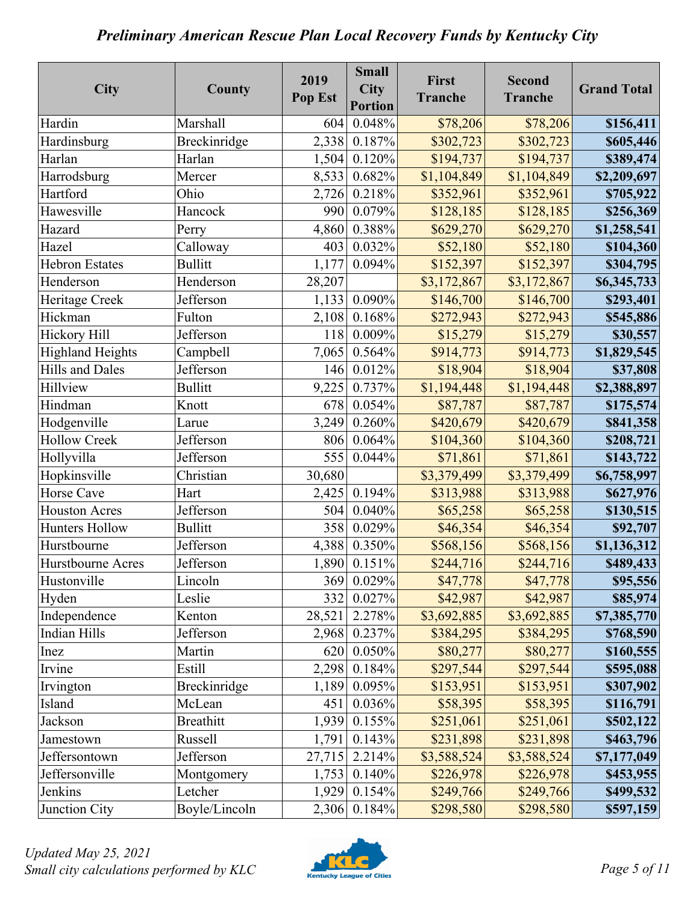| City                    | County           | 2019<br>Pop Est | <b>Small</b><br><b>City</b><br><b>Portion</b> | First<br><b>Tranche</b> | <b>Second</b><br><b>Tranche</b> | <b>Grand Total</b> |
|-------------------------|------------------|-----------------|-----------------------------------------------|-------------------------|---------------------------------|--------------------|
| Hardin                  | <b>Marshall</b>  | 604             | 0.048%                                        | \$78,206                | \$78,206                        | \$156,411          |
| Hardinsburg             | Breckinridge     | 2,338           | 0.187%                                        | \$302,723               | \$302,723                       | \$605,446          |
| Harlan                  | Harlan           | 1,504           | 0.120%                                        | \$194,737               | \$194,737                       | \$389,474          |
| Harrodsburg             | Mercer           | 8,533           | 0.682%                                        | \$1,104,849             | \$1,104,849                     | \$2,209,697        |
| Hartford                | Ohio             | 2,726           | 0.218%                                        | \$352,961               | \$352,961                       | \$705,922          |
| Hawesville              | Hancock          | 990             | 0.079%                                        | \$128,185               | \$128,185                       | \$256,369          |
| Hazard                  | Perry            | 4,860           | 0.388%                                        | \$629,270               | \$629,270                       | \$1,258,541        |
| Hazel                   | Calloway         | 403             | 0.032%                                        | \$52,180                | \$52,180                        | \$104,360          |
| <b>Hebron Estates</b>   | <b>Bullitt</b>   | 1,177           | 0.094%                                        | \$152,397               | \$152,397                       | \$304,795          |
| Henderson               | Henderson        | 28,207          |                                               | \$3,172,867             | \$3,172,867                     | \$6,345,733        |
| Heritage Creek          | Jefferson        | 1,133           | 0.090%                                        | \$146,700               | \$146,700                       | \$293,401          |
| Hickman                 | Fulton           | 2,108           | 0.168%                                        | \$272,943               | \$272,943                       | \$545,886          |
| Hickory Hill            | Jefferson        | 118             | 0.009%                                        | \$15,279                | \$15,279                        | \$30,557           |
| <b>Highland Heights</b> | Campbell         | 7,065           | 0.564%                                        | \$914,773               | \$914,773                       | \$1,829,545        |
| <b>Hills and Dales</b>  | Jefferson        | 146             | 0.012%                                        | \$18,904                | \$18,904                        | \$37,808           |
| Hillview                | <b>Bullitt</b>   | 9,225           | 0.737%                                        | \$1,194,448             | \$1,194,448                     | \$2,388,897        |
| Hindman                 | Knott            | 678             | 0.054%                                        | \$87,787                | \$87,787                        | \$175,574          |
| Hodgenville             | Larue            | 3,249           | 0.260%                                        | \$420,679               | \$420,679                       | \$841,358          |
| <b>Hollow Creek</b>     | Jefferson        | 806             | 0.064%                                        | \$104,360               | \$104,360                       | \$208,721          |
| Hollyvilla              | Jefferson        | 555             | 0.044%                                        | \$71,861                | \$71,861                        | \$143,722          |
| Hopkinsville            | Christian        | 30,680          |                                               | \$3,379,499             | \$3,379,499                     | \$6,758,997        |
| Horse Cave              | Hart             | 2,425           | 0.194%                                        | \$313,988               | \$313,988                       | \$627,976          |
| <b>Houston Acres</b>    | Jefferson        | 504             | 0.040%                                        | \$65,258                | \$65,258                        | \$130,515          |
| <b>Hunters Hollow</b>   | <b>Bullitt</b>   | 358             | 0.029%                                        | \$46,354                | \$46,354                        | \$92,707           |
| Hurstbourne             | Jefferson        | 4,388           | 0.350%                                        | \$568,156               | \$568,156                       | \$1,136,312        |
| Hurstbourne Acres       | Jefferson        | 1,890           | 0.151%                                        | \$244,716               | \$244,716                       | \$489,433          |
| Hustonville             | Lincoln          | 369             | 0.029%                                        | \$47,778                | \$47,778                        | \$95,556           |
| Hyden                   | Leslie           | 332             | 0.027%                                        | \$42,987                | \$42,987                        | \$85,974           |
| Independence            | Kenton           | 28,521          | 2.278%                                        | \$3,692,885             | \$3,692,885                     | \$7,385,770        |
| Indian Hills            | Jefferson        | 2,968           | 0.237%                                        | \$384,295               | \$384,295                       | \$768,590          |
| Inez                    | Martin           | 620             | 0.050%                                        | \$80,277                | \$80,277                        | \$160,555          |
| Irvine                  | Estill           | 2,298           | 0.184%                                        | \$297,544               | \$297,544                       | \$595,088          |
| Irvington               | Breckinridge     | 1,189           | 0.095%                                        | \$153,951               | \$153,951                       | \$307,902          |
| Island                  | McLean           | 451             | 0.036%                                        | \$58,395                | \$58,395                        | \$116,791          |
| Jackson                 | <b>Breathitt</b> | 1,939           | 0.155%                                        | \$251,061               | \$251,061                       | \$502,122          |
| Jamestown               | Russell          | 1,791           | 0.143%                                        | \$231,898               | \$231,898                       | \$463,796          |
| Jeffersontown           | Jefferson        | 27,715          | 2.214%                                        | \$3,588,524             | \$3,588,524                     | \$7,177,049        |
| Jeffersonville          | Montgomery       | 1,753           | 0.140%                                        | \$226,978               | \$226,978                       | \$453,955          |
| Jenkins                 | Letcher          | 1,929           | 0.154%                                        | \$249,766               | \$249,766                       | \$499,532          |
| Junction City           | Boyle/Lincoln    | 2,306           | 0.184%                                        | \$298,580               | \$298,580                       | \$597,159          |

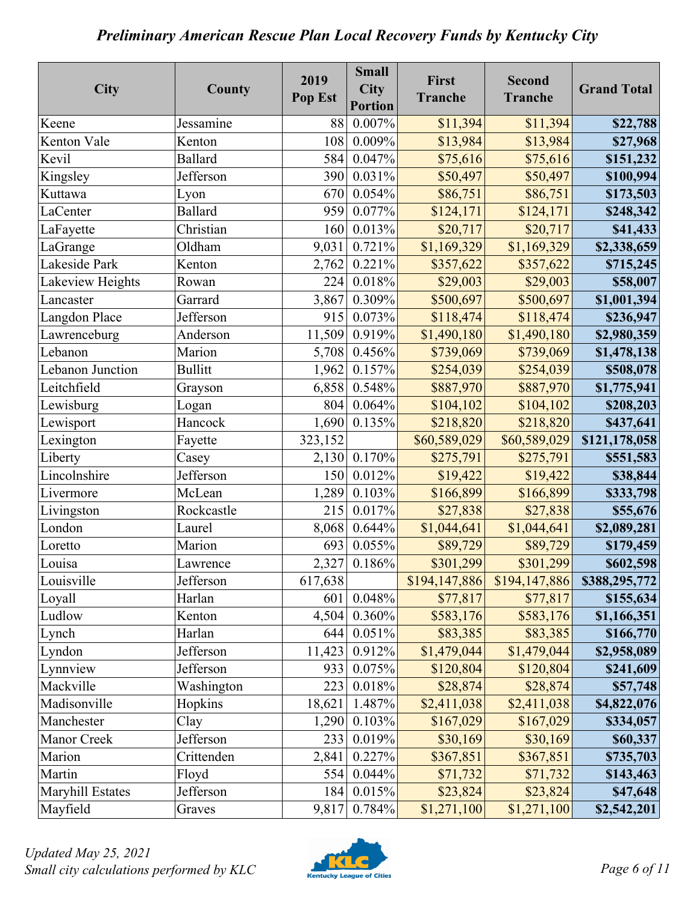| City             | County         | 2019<br>Pop Est | <b>Small</b><br><b>City</b><br><b>Portion</b> | First<br><b>Tranche</b> | <b>Second</b><br><b>Tranche</b> | <b>Grand Total</b> |
|------------------|----------------|-----------------|-----------------------------------------------|-------------------------|---------------------------------|--------------------|
| Keene            | Jessamine      | 88              | 0.007%                                        | \$11,394                | \$11,394                        | \$22,788           |
| Kenton Vale      | Kenton         | 108             | 0.009%                                        | \$13,984                | \$13,984                        | \$27,968           |
| Kevil            | <b>Ballard</b> | 584             | 0.047%                                        | \$75,616                | \$75,616                        | \$151,232          |
| Kingsley         | Jefferson      | 390             | 0.031%                                        | \$50,497                | \$50,497                        | \$100,994          |
| Kuttawa          | Lyon           | 670             | 0.054%                                        | \$86,751                | \$86,751                        | \$173,503          |
| LaCenter         | <b>Ballard</b> | 959             | $0.077\%$                                     | \$124,171               | \$124,171                       | \$248,342          |
| LaFayette        | Christian      | 160             | 0.013%                                        | \$20,717                | \$20,717                        | \$41,433           |
| LaGrange         | Oldham         | 9,031           | 0.721%                                        | \$1,169,329             | \$1,169,329                     | \$2,338,659        |
| Lakeside Park    | Kenton         | 2,762           | 0.221%                                        | \$357,622               | \$357,622                       | \$715,245          |
| Lakeview Heights | Rowan          | 224             | 0.018%                                        | \$29,003                | \$29,003                        | \$58,007           |
| Lancaster        | Garrard        | 3,867           | 0.309%                                        | \$500,697               | \$500,697                       | \$1,001,394        |
| Langdon Place    | Jefferson      | 915             | 0.073%                                        | \$118,474               | \$118,474                       | \$236,947          |
| Lawrenceburg     | Anderson       | 11,509          | 0.919%                                        | \$1,490,180             | \$1,490,180                     | \$2,980,359        |
| Lebanon          | Marion         | 5,708           | 0.456%                                        | \$739,069               | \$739,069                       | \$1,478,138        |
| Lebanon Junction | <b>Bullitt</b> | 1,962           | 0.157%                                        | \$254,039               | \$254,039                       | \$508,078          |
| Leitchfield      | Grayson        | 6,858           | 0.548%                                        | \$887,970               | \$887,970                       | \$1,775,941        |
| Lewisburg        | Logan          | 804             | 0.064%                                        | \$104,102               | \$104,102                       | \$208,203          |
| Lewisport        | Hancock        | 1,690           | 0.135%                                        | \$218,820               | \$218,820                       | \$437,641          |
| Lexington        | Fayette        | 323,152         |                                               | \$60,589,029            | \$60,589,029                    | \$121,178,058      |
| Liberty          | Casey          | 2,130           | $0.170\%$                                     | \$275,791               | \$275,791                       | \$551,583          |
| Lincolnshire     | Jefferson      | 150             | 0.012%                                        | \$19,422                | \$19,422                        | \$38,844           |
| Livermore        | McLean         | 1,289           | 0.103%                                        | \$166,899               | \$166,899                       | \$333,798          |
| Livingston       | Rockcastle     | 215             | 0.017%                                        | \$27,838                | \$27,838                        | \$55,676           |
| London           | Laurel         | 8,068           | 0.644%                                        | \$1,044,641             | \$1,044,641                     | \$2,089,281        |
| Loretto          | Marion         | 693             | 0.055%                                        | \$89,729                | \$89,729                        | \$179,459          |
| Louisa           | Lawrence       | 2,327           | 0.186%                                        | \$301,299               | \$301,299                       | \$602,598          |
| Louisville       | Jefferson      | 617,638         |                                               | \$194,147,886           | \$194,147,886                   | \$388,295,772      |
| Loyall           | Harlan         | 601             | 0.048%                                        | \$77,817                | \$77,817                        | \$155,634          |
| Ludlow           | Kenton         | 4,504           | 0.360%                                        | \$583,176               | \$583,176                       | \$1,166,351        |
| Lynch            | Harlan         | 644             | 0.051%                                        | \$83,385                | \$83,385                        | \$166,770          |
| Lyndon           | Jefferson      | 11,423          | 0.912%                                        | \$1,479,044             | \$1,479,044                     | \$2,958,089        |
| Lynnview         | Jefferson      | 933             | 0.075%                                        | \$120,804               | \$120,804                       | \$241,609          |
| Mackville        | Washington     | 223             | 0.018%                                        | \$28,874                | \$28,874                        | \$57,748           |
| Madisonville     | Hopkins        | 18,621          | 1.487%                                        | \$2,411,038             | \$2,411,038                     | \$4,822,076        |
| Manchester       | Clay           | 1,290           | 0.103%                                        | \$167,029               | \$167,029                       | \$334,057          |
| Manor Creek      | Jefferson      | 233             | 0.019%                                        | \$30,169                | \$30,169                        | \$60,337           |
| Marion           | Crittenden     | 2,841           | 0.227%                                        | \$367,851               | \$367,851                       | \$735,703          |
| Martin           | Floyd          | 554             | 0.044%                                        | \$71,732                | \$71,732                        | \$143,463          |
| Maryhill Estates | Jefferson      | 184             | 0.015%                                        | \$23,824                | \$23,824                        | \$47,648           |
| Mayfield         | Graves         | 9,817           | 0.784%                                        | \$1,271,100             | \$1,271,100                     | \$2,542,201        |

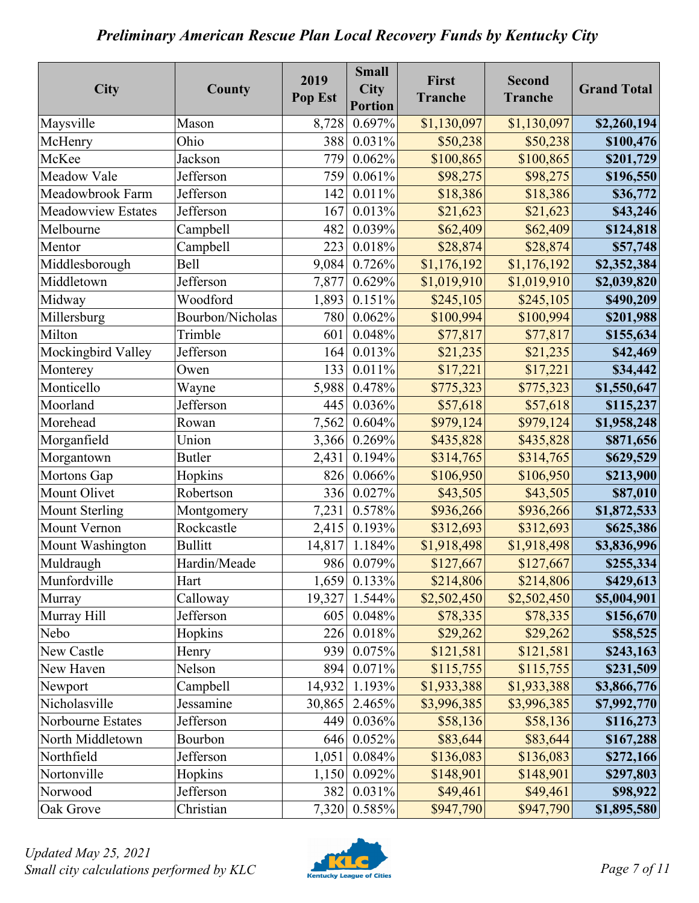| City                      | County           | 2019<br>Pop Est | <b>Small</b><br><b>City</b><br><b>Portion</b> | First<br><b>Tranche</b> | <b>Second</b><br><b>Tranche</b> | <b>Grand Total</b> |
|---------------------------|------------------|-----------------|-----------------------------------------------|-------------------------|---------------------------------|--------------------|
| Maysville                 | Mason            | 8,728           | 0.697%                                        | \$1,130,097             | \$1,130,097                     | \$2,260,194        |
| McHenry                   | Ohio             | 388             | 0.031%                                        | \$50,238                | \$50,238                        | \$100,476          |
| McKee                     | Jackson          | 779             | 0.062%                                        | \$100,865               | \$100,865                       | \$201,729          |
| Meadow Vale               | Jefferson        | 759             | 0.061%                                        | \$98,275                | \$98,275                        | \$196,550          |
| Meadowbrook Farm          | Jefferson        | 142             | 0.011%                                        | \$18,386                | \$18,386                        | \$36,772           |
| <b>Meadowview Estates</b> | Jefferson        | 167             | 0.013%                                        | \$21,623                | \$21,623                        | \$43,246           |
| Melbourne                 | Campbell         | 482             | 0.039%                                        | \$62,409                | \$62,409                        | \$124,818          |
| Mentor                    | Campbell         | 223             | 0.018%                                        | \$28,874                | \$28,874                        | \$57,748           |
| Middlesborough            | <b>Bell</b>      | 9,084           | 0.726%                                        | \$1,176,192             | \$1,176,192                     | \$2,352,384        |
| Middletown                | Jefferson        | 7,877           | 0.629%                                        | \$1,019,910             | \$1,019,910                     | \$2,039,820        |
| Midway                    | Woodford         | 1,893           | 0.151%                                        | \$245,105               | \$245,105                       | \$490,209          |
| Millersburg               | Bourbon/Nicholas | 780             | 0.062%                                        | \$100,994               | \$100,994                       | \$201,988          |
| Milton                    | Trimble          | 601             | 0.048%                                        | \$77,817                | \$77,817                        | \$155,634          |
| Mockingbird Valley        | Jefferson        | 164             | 0.013%                                        | \$21,235                | \$21,235                        | \$42,469           |
| Monterey                  | Owen             | 133             | 0.011%                                        | \$17,221                | \$17,221                        | \$34,442           |
| Monticello                | Wayne            | 5,988           | 0.478%                                        | \$775,323               | \$775,323                       | \$1,550,647        |
| Moorland                  | Jefferson        | 445             | 0.036%                                        | \$57,618                | \$57,618                        | \$115,237          |
| Morehead                  | Rowan            | 7,562           | 0.604%                                        | \$979,124               | \$979,124                       | \$1,958,248        |
| Morganfield               | Union            | 3,366           | 0.269%                                        | \$435,828               | \$435,828                       | \$871,656          |
| Morgantown                | <b>Butler</b>    | 2,431           | 0.194%                                        | \$314,765               | \$314,765                       | \$629,529          |
| Mortons Gap               | Hopkins          | 826             | 0.066%                                        | \$106,950               | \$106,950                       | \$213,900          |
| Mount Olivet              | Robertson        | 336             | 0.027%                                        | \$43,505                | \$43,505                        | \$87,010           |
| <b>Mount Sterling</b>     | Montgomery       | 7,231           | 0.578%                                        | \$936,266               | \$936,266                       | \$1,872,533        |
| Mount Vernon              | Rockcastle       | 2,415           | 0.193%                                        | \$312,693               | \$312,693                       | \$625,386          |
| Mount Washington          | <b>Bullitt</b>   | 14,817          | 1.184%                                        | \$1,918,498             | \$1,918,498                     | \$3,836,996        |
| Muldraugh                 | Hardin/Meade     | 986             | 0.079%                                        | \$127,667               | \$127,667                       | \$255,334          |
| Munfordville              | Hart             | 1,659           | 0.133%                                        | \$214,806               | \$214,806                       | \$429,613          |
| Murray                    | Calloway         | 19,327          | 1.544%                                        | \$2,502,450             | \$2,502,450                     | \$5,004,901        |
| Murray Hill               | Jefferson        | 605             | 0.048%                                        | \$78,335                | \$78,335                        | \$156,670          |
| Nebo                      | Hopkins          | 226             | 0.018%                                        | \$29,262                | \$29,262                        | \$58,525           |
| New Castle                | Henry            | 939             | 0.075%                                        | \$121,581               | \$121,581                       | \$243,163          |
| New Haven                 | Nelson           | 894             | 0.071%                                        | \$115,755               | \$115,755                       | \$231,509          |
| Newport                   | Campbell         | 14,932          | 1.193%                                        | \$1,933,388             | \$1,933,388                     | \$3,866,776        |
| Nicholasville             | Jessamine        | 30,865          | 2.465%                                        | \$3,996,385             | \$3,996,385                     | \$7,992,770        |
| Norbourne Estates         | Jefferson        | 449             | 0.036%                                        | \$58,136                | \$58,136                        | \$116,273          |
| North Middletown          | Bourbon          | 646             | 0.052%                                        | \$83,644                | \$83,644                        | \$167,288          |
| Northfield                | Jefferson        | 1,051           | 0.084%                                        | \$136,083               | \$136,083                       | \$272,166          |
| Nortonville               | Hopkins          | 1,150           | 0.092%                                        | \$148,901               | \$148,901                       | \$297,803          |
| Norwood                   | Jefferson        | 382             | 0.031%                                        | \$49,461                | \$49,461                        | \$98,922           |
| Oak Grove                 | Christian        | 7,320           | 0.585%                                        | \$947,790               | \$947,790                       | \$1,895,580        |

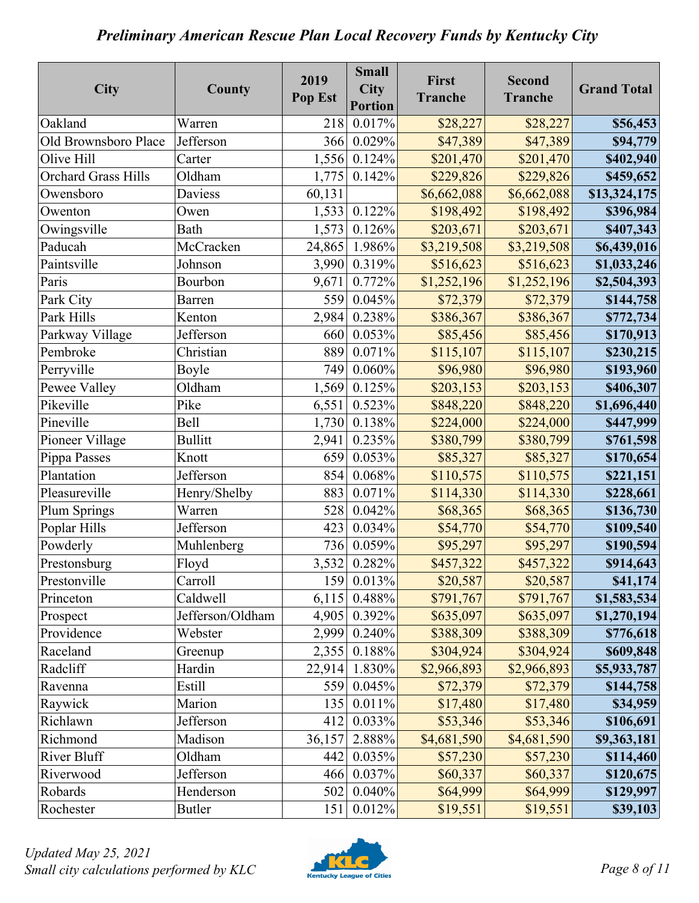| City                       | County           | 2019<br>Pop Est | <b>Small</b><br>City<br><b>Portion</b> | First<br><b>Tranche</b> | <b>Second</b><br><b>Tranche</b> | <b>Grand Total</b> |
|----------------------------|------------------|-----------------|----------------------------------------|-------------------------|---------------------------------|--------------------|
| Oakland                    | Warren           | 218             | 0.017%                                 | \$28,227                | \$28,227                        | \$56,453           |
| Old Brownsboro Place       | Jefferson        | 366             | 0.029%                                 | \$47,389                | \$47,389                        | \$94,779           |
| Olive Hill                 | Carter           | 1,556           | 0.124%                                 | \$201,470               | \$201,470                       | \$402,940          |
| <b>Orchard Grass Hills</b> | Oldham           | 1,775           | 0.142%                                 | \$229,826               | \$229,826                       | \$459,652          |
| Owensboro                  | Daviess          | 60,131          |                                        | \$6,662,088             | \$6,662,088                     | \$13,324,175       |
| Owenton                    | Owen             | 1,533           | 0.122%                                 | \$198,492               | \$198,492                       | \$396,984          |
| Owingsville                | Bath             | 1,573           | 0.126%                                 | \$203,671               | \$203,671                       | \$407,343          |
| Paducah                    | McCracken        | 24,865          | 1.986%                                 | \$3,219,508             | \$3,219,508                     | \$6,439,016        |
| Paintsville                | Johnson          | 3,990           | 0.319%                                 | \$516,623               | \$516,623                       | \$1,033,246        |
| Paris                      | Bourbon          | 9,671           | 0.772%                                 | \$1,252,196             | \$1,252,196                     | \$2,504,393        |
| Park City                  | Barren           | 559             | 0.045%                                 | \$72,379                | \$72,379                        | \$144,758          |
| Park Hills                 | Kenton           | 2,984           | 0.238%                                 | \$386,367               | \$386,367                       | \$772,734          |
| Parkway Village            | Jefferson        | 660             | 0.053%                                 | \$85,456                | \$85,456                        | \$170,913          |
| Pembroke                   | Christian        | 889             | 0.071%                                 | \$115,107               | \$115,107                       | \$230,215          |
| Perryville                 | Boyle            | 749             | 0.060%                                 | \$96,980                | \$96,980                        | \$193,960          |
| Pewee Valley               | Oldham           | 1,569           | 0.125%                                 | \$203,153               | \$203,153                       | \$406,307          |
| Pikeville                  | Pike             | 6,551           | 0.523%                                 | \$848,220               | \$848,220                       | \$1,696,440        |
| Pineville                  | <b>Bell</b>      | 1,730           | 0.138%                                 | \$224,000               | \$224,000                       | \$447,999          |
| Pioneer Village            | <b>Bullitt</b>   | 2,941           | 0.235%                                 | \$380,799               | \$380,799                       | \$761,598          |
| Pippa Passes               | Knott            | 659             | 0.053%                                 | \$85,327                | \$85,327                        | \$170,654          |
| Plantation                 | Jefferson        | 854             | 0.068%                                 | \$110,575               | \$110,575                       | \$221,151          |
| Pleasureville              | Henry/Shelby     | 883             | 0.071%                                 | \$114,330               | \$114,330                       | \$228,661          |
| Plum Springs               | Warren           | 528             | 0.042%                                 | \$68,365                | \$68,365                        | \$136,730          |
| Poplar Hills               | Jefferson        | 423             | 0.034%                                 | \$54,770                | \$54,770                        | \$109,540          |
| Powderly                   | Muhlenberg       | 736             | 0.059%                                 | \$95,297                | \$95,297                        | \$190,594          |
| Prestonsburg               | Floyd            | 3,532           | 0.282%                                 | \$457,322               | \$457,322                       | \$914,643          |
| Prestonville               | Carroll          | 159             | 0.013%                                 | \$20,587                | \$20,587                        | \$41,174           |
| Princeton                  | Caldwell         | 6,115           | 0.488%                                 | \$791,767               | \$791,767                       | \$1,583,534        |
| Prospect                   | Jefferson/Oldham | 4,905           | 0.392%                                 | \$635,097               | \$635,097                       | \$1,270,194        |
| Providence                 | Webster          | 2,999           | 0.240%                                 | \$388,309               | \$388,309                       | \$776,618          |
| Raceland                   | Greenup          | 2,355           | 0.188%                                 | \$304,924               | \$304,924                       | \$609,848          |
| Radcliff                   | Hardin           | 22,914          | 1.830%                                 | \$2,966,893             | \$2,966,893                     | \$5,933,787        |
| Ravenna                    | Estill           | 559             | 0.045%                                 | \$72,379                | \$72,379                        | \$144,758          |
| Raywick                    | Marion           | 135             | 0.011%                                 | \$17,480                | \$17,480                        | \$34,959           |
| Richlawn                   | Jefferson        | 412             | 0.033%                                 | \$53,346                | \$53,346                        | \$106,691          |
| Richmond                   | Madison          | 36,157          | 2.888%                                 | \$4,681,590             | \$4,681,590                     | \$9,363,181        |
| <b>River Bluff</b>         | Oldham           | 442             | 0.035%                                 | \$57,230                | \$57,230                        | \$114,460          |
| Riverwood                  | Jefferson        | 466             | 0.037%                                 | \$60,337                | \$60,337                        | \$120,675          |
| Robards                    | Henderson        | 502             | 0.040%                                 | \$64,999                | \$64,999                        | \$129,997          |
| Rochester                  | <b>Butler</b>    | 151             | 0.012%                                 | \$19,551                | \$19,551                        | \$39,103           |

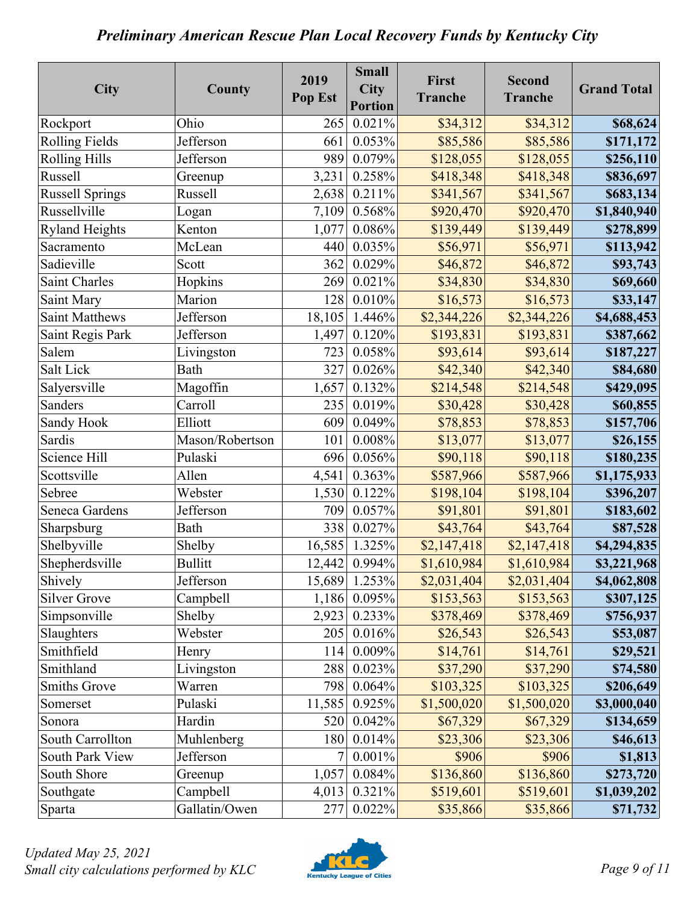| City                   | County          | 2019<br>Pop Est | <b>Small</b><br><b>City</b><br><b>Portion</b> | First<br><b>Tranche</b> | <b>Second</b><br><b>Tranche</b> | <b>Grand Total</b> |
|------------------------|-----------------|-----------------|-----------------------------------------------|-------------------------|---------------------------------|--------------------|
| Rockport               | Ohio            | 265             | 0.021%                                        | \$34,312                | \$34,312                        | \$68,624           |
| <b>Rolling Fields</b>  | Jefferson       | 661             | 0.053%                                        | \$85,586                | \$85,586                        | \$171,172          |
| <b>Rolling Hills</b>   | Jefferson       | 989             | 0.079%                                        | \$128,055               | \$128,055                       | \$256,110          |
| <b>Russell</b>         | Greenup         | 3,231           | 0.258%                                        | \$418,348               | \$418,348                       | \$836,697          |
| <b>Russell Springs</b> | <b>Russell</b>  | 2,638           | 0.211%                                        | \$341,567               | \$341,567                       | \$683,134          |
| Russellville           | Logan           | 7,109           | $0.568\%$                                     | \$920,470               | \$920,470                       | \$1,840,940        |
| <b>Ryland Heights</b>  | Kenton          | 1,077           | 0.086%                                        | \$139,449               | \$139,449                       | \$278,899          |
| Sacramento             | McLean          | 440             | 0.035%                                        | \$56,971                | \$56,971                        | \$113,942          |
| Sadieville             | Scott           | 362             | 0.029%                                        | \$46,872                | \$46,872                        | \$93,743           |
| <b>Saint Charles</b>   | Hopkins         | 269             | 0.021%                                        | \$34,830                | \$34,830                        | \$69,660           |
| Saint Mary             | Marion          | 128             | 0.010%                                        | \$16,573                | \$16,573                        | \$33,147           |
| <b>Saint Matthews</b>  | Jefferson       | 18,105          | 1.446%                                        | \$2,344,226             | \$2,344,226                     | \$4,688,453        |
| Saint Regis Park       | Jefferson       | 1,497           | 0.120%                                        | \$193,831               | \$193,831                       | \$387,662          |
| Salem                  | Livingston      | 723             | 0.058%                                        | \$93,614                | \$93,614                        | \$187,227          |
| Salt Lick              | Bath            | 327             | 0.026%                                        | \$42,340                | \$42,340                        | \$84,680           |
| Salyersville           | Magoffin        | 1,657           | 0.132%                                        | \$214,548               | \$214,548                       | \$429,095          |
| <b>Sanders</b>         | Carroll         | 235             | 0.019%                                        | \$30,428                | \$30,428                        | \$60,855           |
| Sandy Hook             | Elliott         | 609             | 0.049%                                        | \$78,853                | \$78,853                        | \$157,706          |
| Sardis                 | Mason/Robertson | 101             | 0.008%                                        | \$13,077                | \$13,077                        | \$26,155           |
| Science Hill           | Pulaski         | 696             | 0.056%                                        | \$90,118                | \$90,118                        | \$180,235          |
| Scottsville            | Allen           | 4,541           | 0.363%                                        | \$587,966               | \$587,966                       | \$1,175,933        |
| Sebree                 | Webster         | 1,530           | 0.122%                                        | \$198,104               | \$198,104                       | \$396,207          |
| Seneca Gardens         | Jefferson       | 709             | 0.057%                                        | \$91,801                | \$91,801                        | \$183,602          |
| Sharpsburg             | Bath            | 338             | 0.027%                                        | \$43,764                | \$43,764                        | \$87,528           |
| Shelbyville            | Shelby          | 16,585          | 1.325%                                        | \$2,147,418             | \$2,147,418                     | \$4,294,835        |
| Shepherdsville         | <b>Bullitt</b>  | 12,442          | 0.994%                                        | \$1,610,984             | \$1,610,984                     | \$3,221,968        |
| Shively                | Jefferson       | 15,689          | 1.253%                                        | \$2,031,404             | \$2,031,404                     | \$4,062,808        |
| <b>Silver Grove</b>    | Campbell        | 1,186           | 0.095%                                        | \$153,563               | \$153,563                       | \$307,125          |
| Simpsonville           | Shelby          | 2,923           | 0.233%                                        | \$378,469               | \$378,469                       | \$756,937          |
| Slaughters             | Webster         | 205             | 0.016%                                        | \$26,543                | \$26,543                        | \$53,087           |
| Smithfield             | Henry           | 114             | 0.009%                                        | \$14,761                | \$14,761                        | \$29,521           |
| Smithland              | Livingston      | 288             | 0.023%                                        | \$37,290                | \$37,290                        | \$74,580           |
| <b>Smiths Grove</b>    | Warren          | 798             | 0.064%                                        | \$103,325               | \$103,325                       | \$206,649          |
| Somerset               | Pulaski         | 11,585          | 0.925%                                        | \$1,500,020             | \$1,500,020                     | \$3,000,040        |
| Sonora                 | Hardin          | 520             | 0.042%                                        | \$67,329                | \$67,329                        | \$134,659          |
| South Carrollton       | Muhlenberg      | 180             | 0.014%                                        | \$23,306                | \$23,306                        | \$46,613           |
| South Park View        | Jefferson       | $\overline{7}$  | 0.001%                                        | \$906                   | \$906                           | \$1,813            |
| South Shore            | Greenup         | 1,057           | 0.084%                                        | \$136,860               | \$136,860                       | \$273,720          |
| Southgate              | Campbell        | 4,013           | 0.321%                                        | \$519,601               | \$519,601                       | \$1,039,202        |
| Sparta                 | Gallatin/Owen   | 277             | 0.022%                                        | \$35,866                | \$35,866                        | \$71,732           |

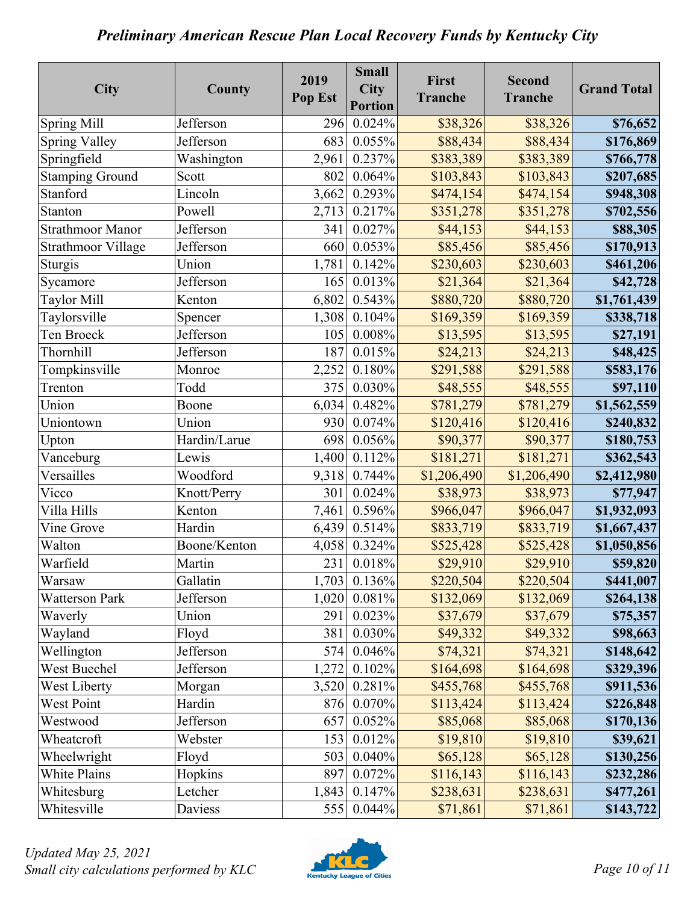| <b>City</b>               | County       | 2019<br>Pop Est | <b>Small</b><br><b>City</b><br><b>Portion</b> | First<br><b>Tranche</b> | <b>Second</b><br><b>Tranche</b> | <b>Grand Total</b> |
|---------------------------|--------------|-----------------|-----------------------------------------------|-------------------------|---------------------------------|--------------------|
| <b>Spring Mill</b>        | Jefferson    | 296             | 0.024%                                        | \$38,326                | \$38,326                        | \$76,652           |
| <b>Spring Valley</b>      | Jefferson    | 683             | 0.055%                                        | \$88,434                | \$88,434                        | \$176,869          |
| Springfield               | Washington   | 2,961           | 0.237%                                        | \$383,389               | \$383,389                       | \$766,778          |
| <b>Stamping Ground</b>    | Scott        | 802             | 0.064%                                        | \$103,843               | \$103,843                       | \$207,685          |
| Stanford                  | Lincoln      | 3,662           | 0.293%                                        | \$474,154               | \$474,154                       | \$948,308          |
| Stanton                   | Powell       | 2,713           | 0.217%                                        | \$351,278               | \$351,278                       | \$702,556          |
| <b>Strathmoor Manor</b>   | Jefferson    | 341             | 0.027%                                        | \$44,153                | \$44,153                        | \$88,305           |
| <b>Strathmoor Village</b> | Jefferson    | 660             | 0.053%                                        | \$85,456                | \$85,456                        | \$170,913          |
| Sturgis                   | Union        | 1,781           | 0.142%                                        | \$230,603               | \$230,603                       | \$461,206          |
| Sycamore                  | Jefferson    | 165             | 0.013%                                        | \$21,364                | \$21,364                        | \$42,728           |
| <b>Taylor Mill</b>        | Kenton       | 6,802           | 0.543%                                        | \$880,720               | \$880,720                       | \$1,761,439        |
| Taylorsville              | Spencer      | 1,308           | 0.104%                                        | \$169,359               | \$169,359                       | \$338,718          |
| Ten Broeck                | Jefferson    | 105             | 0.008%                                        | \$13,595                | \$13,595                        | \$27,191           |
| <b>Thornhill</b>          | Jefferson    | 187             | 0.015%                                        | \$24,213                | \$24,213                        | \$48,425           |
| Tompkinsville             | Monroe       | 2,252           | 0.180%                                        | \$291,588               | \$291,588                       | \$583,176          |
| Trenton                   | Todd         | 375             | 0.030%                                        | \$48,555                | \$48,555                        | \$97,110           |
| Union                     | Boone        | 6,034           | 0.482%                                        | \$781,279               | \$781,279                       | \$1,562,559        |
| Uniontown                 | Union        | 930             | 0.074%                                        | \$120,416               | \$120,416                       | \$240,832          |
| Upton                     | Hardin/Larue | 698             | 0.056%                                        | \$90,377                | \$90,377                        | \$180,753          |
| Vanceburg                 | Lewis        | 1,400           | 0.112%                                        | \$181,271               | \$181,271                       | \$362,543          |
| Versailles                | Woodford     | 9,318           | 0.744%                                        | \$1,206,490             | \$1,206,490                     | \$2,412,980        |
| Vicco                     | Knott/Perry  | 301             | 0.024%                                        | \$38,973                | \$38,973                        | \$77,947           |
| Villa Hills               | Kenton       | 7,461           | 0.596%                                        | \$966,047               | \$966,047                       | \$1,932,093        |
| Vine Grove                | Hardin       | 6,439           | 0.514%                                        | \$833,719               | \$833,719                       | \$1,667,437        |
| Walton                    | Boone/Kenton | 4,058           | 0.324%                                        | \$525,428               | \$525,428                       | \$1,050,856        |
| Warfield                  | Martin       | 231             | 0.018%                                        | \$29,910                | \$29,910                        | \$59,820           |
| Warsaw                    | Gallatin     |                 | 1,703 0.136%                                  | \$220,504               | \$220,504                       | \$441,007          |
| <b>Watterson Park</b>     | Jefferson    | 1,020           | 0.081%                                        | \$132,069               | \$132,069                       | \$264,138          |
| Waverly                   | Union        | 291             | 0.023%                                        | \$37,679                | \$37,679                        | \$75,357           |
| Wayland                   | Floyd        | 381             | 0.030%                                        | \$49,332                | \$49,332                        | \$98,663           |
| Wellington                | Jefferson    | 574             | 0.046%                                        | \$74,321                | \$74,321                        | \$148,642          |
| West Buechel              | Jefferson    | 1,272           | 0.102%                                        | \$164,698               | \$164,698                       | \$329,396          |
| <b>West Liberty</b>       | Morgan       | 3,520           | 0.281%                                        | \$455,768               | \$455,768                       | \$911,536          |
| West Point                | Hardin       | 876             | 0.070%                                        | \$113,424               | \$113,424                       | \$226,848          |
| Westwood                  | Jefferson    | 657             | 0.052%                                        | \$85,068                | \$85,068                        | \$170,136          |
| Wheatcroft                | Webster      | 153             | 0.012%                                        | \$19,810                | \$19,810                        | \$39,621           |
| Wheelwright               | Floyd        | 503             | 0.040%                                        | \$65,128                | \$65,128                        | \$130,256          |
| White Plains              | Hopkins      | 897             | 0.072%                                        | \$116,143               | \$116,143                       | \$232,286          |
| Whitesburg                | Letcher      | 1,843           | 0.147%                                        | \$238,631               | \$238,631                       | \$477,261          |
| Whitesville               | Daviess      | 555             | 0.044%                                        | \$71,861                | \$71,861                        | \$143,722          |